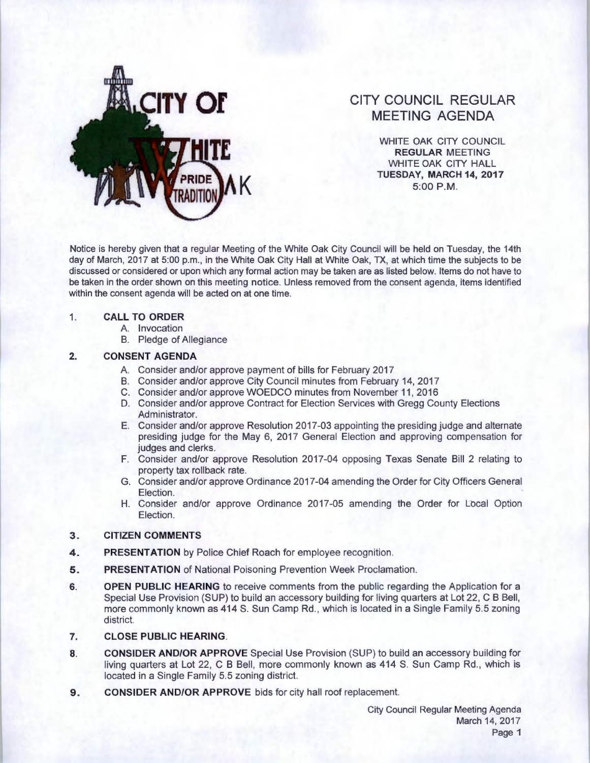

# **CITY COUNCIL REGULAR MEETING AGENDA**

WHITE OAK CITY COUNCIL **REGULAR** MEETING WHITE OAK CITY HALL **TUESDAY, MARCH 14, 2017 5:00 P.M.** 

Notice is hereby given that a regular Meeting of the White Oak City Council will be held on Tuesday, the 14th day of March, 2017 at 5:00 p.m., in the White Oak City Hall at White Oak, TX, at which time the subjects to be discussed or considered or upon which any formal action may be taken are as listed below. Items do not have to be taken in the order shown on this meeting notice. Unless removed from the consent agenda, items identified within the consent agenda will be acted on at one time.

#### 1. **CALL TO ORDER**

- A. Invocation
- B. Pledge of Allegiance

#### **2. CONSENT AGENDA**

- A. Consider and/or approve payment of bills for February 2017
- B. Consider and/or approve City Council minutes from February 14, 2017
- C. Consider and/or approve WOEDCO minutes from November 11 , 2016
- D. Consider and/or approve Contract for Election Services with Gregg County Elections Administrator.
- E. Consider and/or approve Resolution 2017-03 appointing the presiding judge and alternate presiding judge for the May 6, 2017 General Election and approving compensation for judges and clerks.
- F. Consider and/or approve Resolution 2017-04 opposing Texas Senate Bill 2 relating to property tax rollback rate.
- G. Consider and/or approve Ordinance 2017-04 amending the Order for City Officers General Election.
- H. Consider and/or approve Ordinance 2017-05 amending the Order for Local Option Election.

## **3. CITIZEN COMMENTS**

- **4. PRESENTATION** by Police Chief Roach for employee recognition.
- **5. PRESENTATION** of National Poisoning Prevention Week Proclamation.
- **6. OPEN PUBLIC HEARING** to receive comments from the public regarding the Application for a Special Use Provision (SUP) to build an accessory building for living quarters at Lot 22, C B Bell, more commonly known as 414 S. Sun Camp Rd., which is located in a Single Family 5.5 zoning district.
- **7. CLOSE PUBLIC HEARING.**
- **8. CONSIDER AND/OR APPROVE** Special Use Provision (SUP) to build an accessory building for living quarters at Lot 22, C B Bell, more commonly known as 414 S. Sun Camp Rd., which is located in a Single Family 5.5 zoning district.
- **9. CONSIDER AND/OR APPROVE** bids for city hall roof replacement.